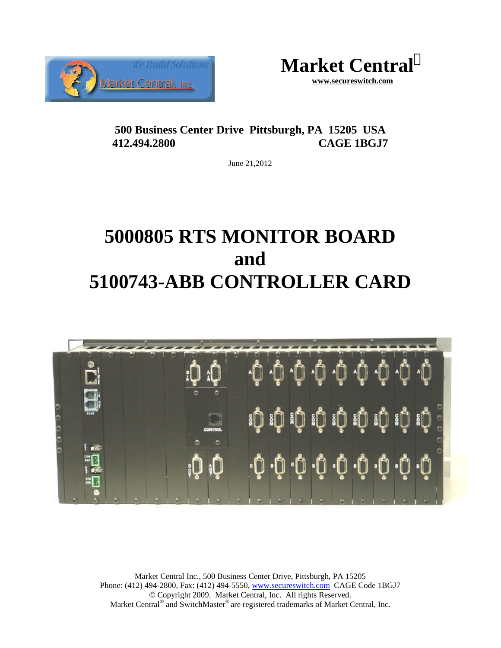



**500 Business Center Drive Pittsburgh, PA 15205 USA 412.494.2800 CAGE 1BGJ7**

June 21,2012

# **5000805 RTS MONITOR BOARD and 5100743-ABB CONTROLLER CARD**



Market Central Inc., 500 Business Center Drive, Pittsburgh, PA 15205 Phone: (412) 494-2800, Fax: (412) 494-5550, www.secureswitch.com CAGE Code 1BGJ7 © Copyright 2009. Market Central, Inc. All rights Reserved. Market Central® and SwitchMaster® are registered trademarks of Market Central, Inc.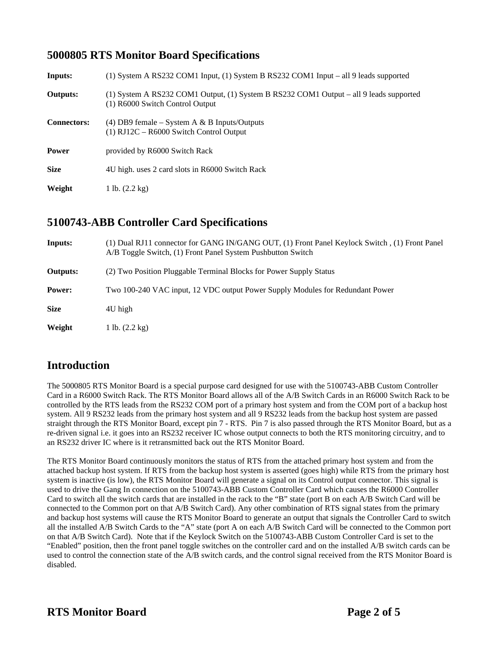#### **5000805 RTS Monitor Board Specifications**

| Inputs:            | (1) System A RS232 COM1 Input, (1) System B RS232 COM1 Input – all 9 leads supported                                      |
|--------------------|---------------------------------------------------------------------------------------------------------------------------|
| <b>Outputs:</b>    | (1) System A RS232 COM1 Output, (1) System B RS232 COM1 Output - all 9 leads supported<br>(1) R6000 Switch Control Output |
| <b>Connectors:</b> | (4) DB9 female – System A & B Inputs/Outputs<br>$(1)$ RJ12C – R6000 Switch Control Output                                 |
| <b>Power</b>       | provided by R6000 Switch Rack                                                                                             |
| <b>Size</b>        | 4U high. uses 2 card slots in R6000 Switch Rack                                                                           |
| Weight             | 1 lb. $(2.2 \text{ kg})$                                                                                                  |

## **5100743-ABB Controller Card Specifications**

| Inputs:         | (1) Dual RJ11 connector for GANG IN/GANG OUT, (1) Front Panel Keylock Switch, (1) Front Panel<br>A/B Toggle Switch, (1) Front Panel System Pushbutton Switch |
|-----------------|--------------------------------------------------------------------------------------------------------------------------------------------------------------|
| <b>Outputs:</b> | (2) Two Position Pluggable Terminal Blocks for Power Supply Status                                                                                           |
| Power:          | Two 100-240 VAC input, 12 VDC output Power Supply Modules for Redundant Power                                                                                |
| <b>Size</b>     | 4U high                                                                                                                                                      |
| Weight          | 1 lb. $(2.2 \text{ kg})$                                                                                                                                     |

# **Introduction**

The 5000805 RTS Monitor Board is a special purpose card designed for use with the 5100743-ABB Custom Controller Card in a R6000 Switch Rack. The RTS Monitor Board allows all of the A/B Switch Cards in an R6000 Switch Rack to be controlled by the RTS leads from the RS232 COM port of a primary host system and from the COM port of a backup host system. All 9 RS232 leads from the primary host system and all 9 RS232 leads from the backup host system are passed straight through the RTS Monitor Board, except pin 7 - RTS. Pin 7 is also passed through the RTS Monitor Board, but as a re-driven signal i.e. it goes into an RS232 receiver IC whose output connects to both the RTS monitoring circuitry, and to an RS232 driver IC where is it retransmitted back out the RTS Monitor Board.

The RTS Monitor Board continuously monitors the status of RTS from the attached primary host system and from the attached backup host system. If RTS from the backup host system is asserted (goes high) while RTS from the primary host system is inactive (is low), the RTS Monitor Board will generate a signal on its Control output connector. This signal is used to drive the Gang In connection on the 5100743-ABB Custom Controller Card which causes the R6000 Controller Card to switch all the switch cards that are installed in the rack to the "B" state (port B on each A/B Switch Card will be connected to the Common port on that A/B Switch Card). Any other combination of RTS signal states from the primary and backup host systems will cause the RTS Monitor Board to generate an output that signals the Controller Card to switch all the installed A/B Switch Cards to the "A" state (port A on each A/B Switch Card will be connected to the Common port on that A/B Switch Card). Note that if the Keylock Switch on the 5100743-ABB Custom Controller Card is set to the "Enabled" position, then the front panel toggle switches on the controller card and on the installed A/B switch cards can be used to control the connection state of the A/B switch cards, and the control signal received from the RTS Monitor Board is disabled.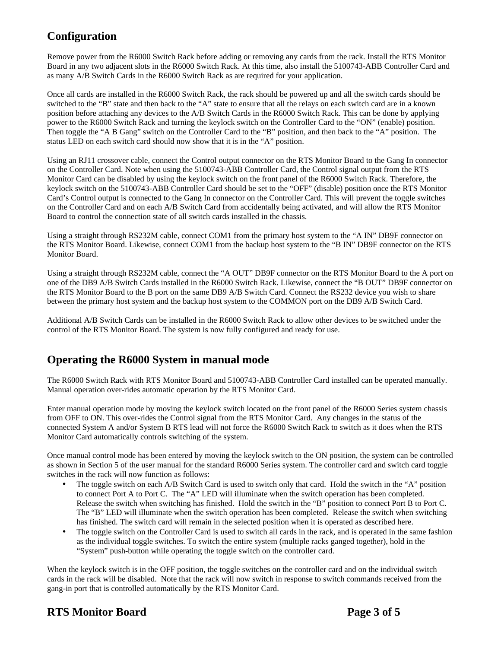# **Configuration**

Remove power from the R6000 Switch Rack before adding or removing any cards from the rack. Install the RTS Monitor Board in any two adjacent slots in the R6000 Switch Rack. At this time, also install the 5100743-ABB Controller Card and as many A/B Switch Cards in the R6000 Switch Rack as are required for your application.

Once all cards are installed in the R6000 Switch Rack, the rack should be powered up and all the switch cards should be switched to the "B" state and then back to the "A" state to ensure that all the relays on each switch card are in a known position before attaching any devices to the A/B Switch Cards in the R6000 Switch Rack. This can be done by applying power to the R6000 Switch Rack and turning the keylock switch on the Controller Card to the "ON" (enable) position. Then toggle the "A B Gang" switch on the Controller Card to the "B" position, and then back to the "A" position. The status LED on each switch card should now show that it is in the "A" position.

Using an RJ11 crossover cable, connect the Control output connector on the RTS Monitor Board to the Gang In connector on the Controller Card. Note when using the 5100743-ABB Controller Card, the Control signal output from the RTS Monitor Card can be disabled by using the keylock switch on the front panel of the R6000 Switch Rack. Therefore, the keylock switch on the 5100743-ABB Controller Card should be set to the "OFF" (disable) position once the RTS Monitor Card's Control output is connected to the Gang In connector on the Controller Card. This will prevent the toggle switches on the Controller Card and on each A/B Switch Card from accidentally being activated, and will allow the RTS Monitor Board to control the connection state of all switch cards installed in the chassis.

Using a straight through RS232M cable, connect COM1 from the primary host system to the "A IN" DB9F connector on the RTS Monitor Board. Likewise, connect COM1 from the backup host system to the "B IN" DB9F connector on the RTS Monitor Board.

Using a straight through RS232M cable, connect the "A OUT" DB9F connector on the RTS Monitor Board to the A port on one of the DB9 A/B Switch Cards installed in the R6000 Switch Rack. Likewise, connect the "B OUT" DB9F connector on the RTS Monitor Board to the B port on the same DB9 A/B Switch Card. Connect the RS232 device you wish to share between the primary host system and the backup host system to the COMMON port on the DB9 A/B Switch Card.

Additional A/B Switch Cards can be installed in the R6000 Switch Rack to allow other devices to be switched under the control of the RTS Monitor Board. The system is now fully configured and ready for use.

### **Operating the R6000 System in manual mode**

The R6000 Switch Rack with RTS Monitor Board and 5100743-ABB Controller Card installed can be operated manually. Manual operation over-rides automatic operation by the RTS Monitor Card.

Enter manual operation mode by moving the keylock switch located on the front panel of the R6000 Series system chassis from OFF to ON. This over-rides the Control signal from the RTS Monitor Card. Any changes in the status of the connected System A and/or System B RTS lead will not force the R6000 Switch Rack to switch as it does when the RTS Monitor Card automatically controls switching of the system.

Once manual control mode has been entered by moving the keylock switch to the ON position, the system can be controlled as shown in Section 5 of the user manual for the standard R6000 Series system. The controller card and switch card toggle switches in the rack will now function as follows:

- The toggle switch on each A/B Switch Card is used to switch only that card. Hold the switch in the "A" position to connect Port A to Port C. The "A" LED will illuminate when the switch operation has been completed. Release the switch when switching has finished. Hold the switch in the "B" position to connect Port B to Port C. The "B" LED will illuminate when the switch operation has been completed. Release the switch when switching has finished. The switch card will remain in the selected position when it is operated as described here.
- The toggle switch on the Controller Card is used to switch all cards in the rack, and is operated in the same fashion as the individual toggle switches. To switch the entire system (multiple racks ganged together), hold in the "System" push-button while operating the toggle switch on the controller card.

When the keylock switch is in the OFF position, the toggle switches on the controller card and on the individual switch cards in the rack will be disabled. Note that the rack will now switch in response to switch commands received from the gang-in port that is controlled automatically by the RTS Monitor Card.

### **RTS** Monitor Board **Page 3 of 5**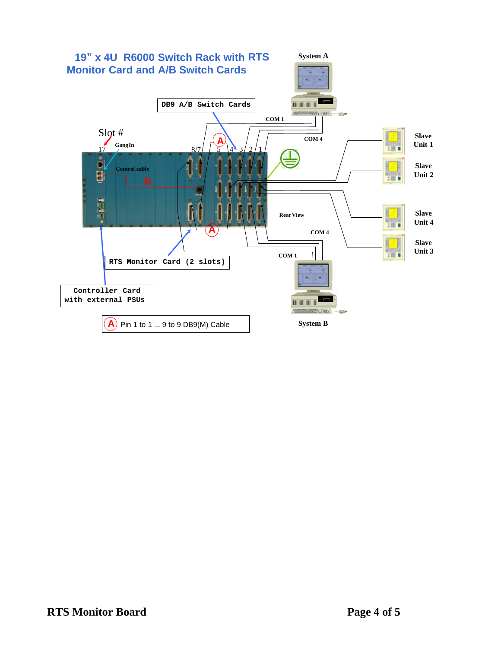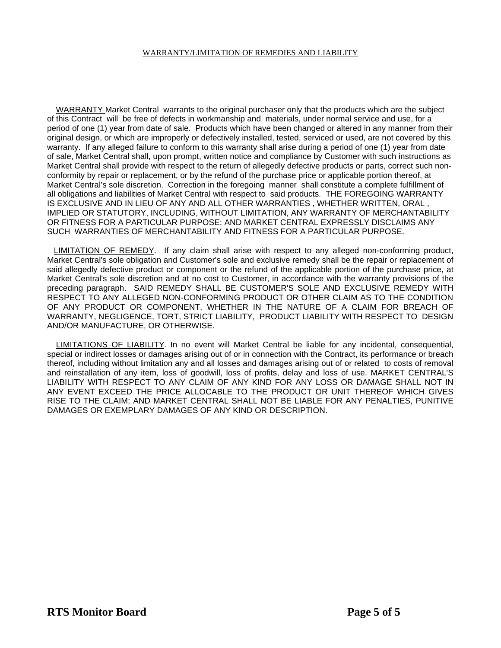#### WARRANTY/LIMITATION OF REMEDIES AND LIABILITY

 WARRANTY Market Central warrants to the original purchaser only that the products which are the subject of this Contract will be free of defects in workmanship and materials, under normal service and use, for a period of one (1) year from date of sale. Products which have been changed or altered in any manner from their original design, or which are improperly or defectively installed, tested, serviced or used, are not covered by this warranty. If any alleged failure to conform to this warranty shall arise during a period of one (1) year from date of sale, Market Central shall, upon prompt, written notice and compliance by Customer with such instructions as Market Central shall provide with respect to the return of allegedly defective products or parts, correct such nonconformity by repair or replacement, or by the refund of the purchase price or applicable portion thereof, at Market Central's sole discretion. Correction in the foregoing manner shall constitute a complete fulfillment of all obligations and liabilities of Market Central with respect to said products. THE FOREGOING WARRANTY IS EXCLUSIVE AND IN LIEU OF ANY AND ALL OTHER WARRANTIES , WHETHER WRITTEN, ORAL , IMPLIED OR STATUTORY, INCLUDING, WITHOUT LIMITATION, ANY WARRANTY OF MERCHANTABILITY OR FITNESS FOR A PARTICULAR PURPOSE; AND MARKET CENTRAL EXPRESSLY DISCLAIMS ANY SUCH WARRANTIES OF MERCHANTABILITY AND FITNESS FOR A PARTICULAR PURPOSE.

 LIMITATION OF REMEDY. If any claim shall arise with respect to any alleged non-conforming product, Market Central's sole obligation and Customer's sole and exclusive remedy shall be the repair or replacement of said allegedly defective product or component or the refund of the applicable portion of the purchase price, at Market Central's sole discretion and at no cost to Customer, in accordance with the warranty provisions of the preceding paragraph. SAID REMEDY SHALL BE CUSTOMER'S SOLE AND EXCLUSIVE REMEDY WITH RESPECT TO ANY ALLEGED NON-CONFORMING PRODUCT OR OTHER CLAIM AS TO THE CONDITION OF ANY PRODUCT OR COMPONENT, WHETHER IN THE NATURE OF A CLAIM FOR BREACH OF WARRANTY, NEGLIGENCE, TORT, STRICT LIABILITY, PRODUCT LIABILITY WITH RESPECT TO DESIGN AND/OR MANUFACTURE, OR OTHERWISE.

 LIMITATIONS OF LIABILITY. In no event will Market Central be liable for any incidental, consequential, special or indirect losses or damages arising out of or in connection with the Contract, its performance or breach thereof, including without limitation any and all losses and damages arising out of or related to costs of removal and reinstallation of any item, loss of goodwill, loss of profits, delay and loss of use. MARKET CENTRAL'S LIABILITY WITH RESPECT TO ANY CLAIM OF ANY KIND FOR ANY LOSS OR DAMAGE SHALL NOT IN ANY EVENT EXCEED THE PRICE ALLOCABLE TO THE PRODUCT OR UNIT THEREOF WHICH GIVES RISE TO THE CLAIM; AND MARKET CENTRAL SHALL NOT BE LIABLE FOR ANY PENALTIES, PUNITIVE DAMAGES OR EXEMPLARY DAMAGES OF ANY KIND OR DESCRIPTION.